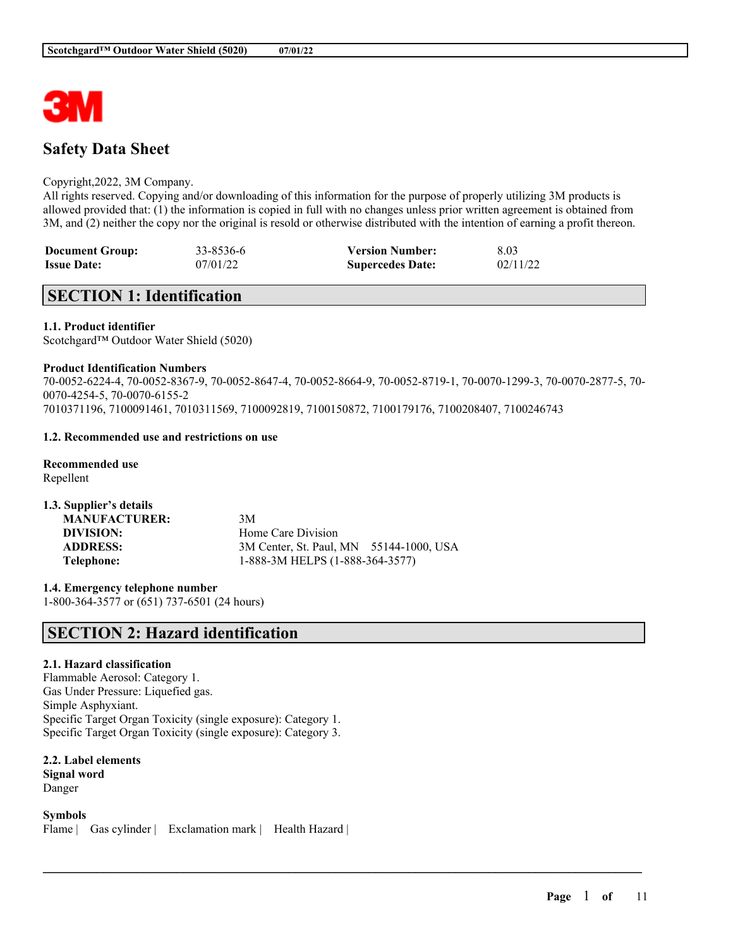

# **Safety Data Sheet**

### Copyright,2022, 3M Company.

All rights reserved. Copying and/or downloading of this information for the purpose of properly utilizing 3M products is allowed provided that: (1) the information is copied in full with no changes unless prior written agreement is obtained from 3M, and (2) neither the copy nor the original is resold or otherwise distributed with the intention of earning a profit thereon.

| <b>Document Group:</b> | 33-8536-6 | <b>Version Number:</b>  | 8.03     |
|------------------------|-----------|-------------------------|----------|
| <b>Issue Date:</b>     | 07/01/22  | <b>Supercedes Date:</b> | 02/11/22 |

# **SECTION 1: Identification**

### **1.1. Product identifier**

Scotchgard™ Outdoor Water Shield (5020)

### **Product Identification Numbers**

70-0052-6224-4, 70-0052-8367-9, 70-0052-8647-4, 70-0052-8664-9, 70-0052-8719-1, 70-0070-1299-3, 70-0070-2877-5, 70- 0070-4254-5, 70-0070-6155-2 7010371196, 7100091461, 7010311569, 7100092819, 7100150872, 7100179176, 7100208407, 7100246743

 $\mathcal{L}_\mathcal{L} = \mathcal{L}_\mathcal{L} = \mathcal{L}_\mathcal{L} = \mathcal{L}_\mathcal{L} = \mathcal{L}_\mathcal{L} = \mathcal{L}_\mathcal{L} = \mathcal{L}_\mathcal{L} = \mathcal{L}_\mathcal{L} = \mathcal{L}_\mathcal{L} = \mathcal{L}_\mathcal{L} = \mathcal{L}_\mathcal{L} = \mathcal{L}_\mathcal{L} = \mathcal{L}_\mathcal{L} = \mathcal{L}_\mathcal{L} = \mathcal{L}_\mathcal{L} = \mathcal{L}_\mathcal{L} = \mathcal{L}_\mathcal{L}$ 

# **1.2. Recommended use and restrictions on use**

**Recommended use** Repellent

| 1.3. Supplier's details |                                         |  |
|-------------------------|-----------------------------------------|--|
| <b>MANUFACTURER:</b>    | 3M                                      |  |
| DIVISION:               | Home Care Division                      |  |
| <b>ADDRESS:</b>         | 3M Center, St. Paul, MN 55144-1000, USA |  |
| Telephone:              | 1-888-3M HELPS (1-888-364-3577)         |  |

**1.4. Emergency telephone number** 1-800-364-3577 or (651) 737-6501 (24 hours)

# **SECTION 2: Hazard identification**

# **2.1. Hazard classification**

Flammable Aerosol: Category 1. Gas Under Pressure: Liquefied gas. Simple Asphyxiant. Specific Target Organ Toxicity (single exposure): Category 1. Specific Target Organ Toxicity (single exposure): Category 3.

**2.2. Label elements Signal word** Danger

**Symbols**

Flame | Gas cylinder | Exclamation mark | Health Hazard |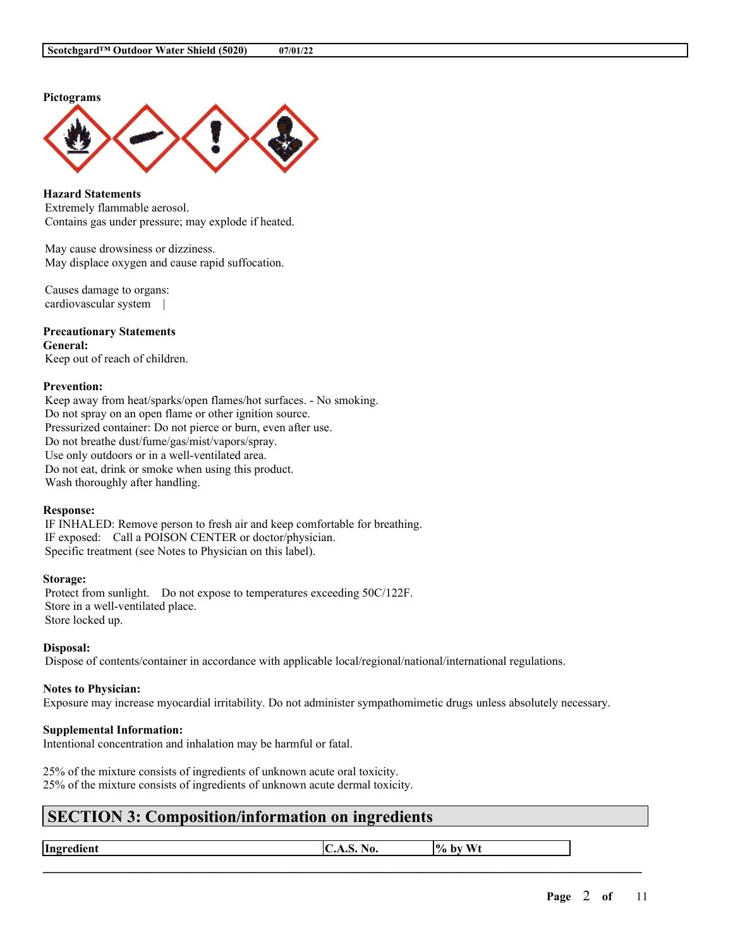### **Pictograms**



**Hazard Statements** Extremely flammable aerosol. Contains gas under pressure; may explode if heated.

May cause drowsiness or dizziness. May displace oxygen and cause rapid suffocation.

Causes damage to organs: cardiovascular system |

**Precautionary Statements General:** Keep out of reach of children.

# **Prevention:**

Keep away from heat/sparks/open flames/hot surfaces. - No smoking. Do not spray on an open flame or other ignition source. Pressurized container: Do not pierce or burn, even after use. Do not breathe dust/fume/gas/mist/vapors/spray. Use only outdoors or in a well-ventilated area. Do not eat, drink or smoke when using this product. Wash thoroughly after handling.

### **Response:**

IF INHALED: Remove person to fresh air and keep comfortable for breathing. IF exposed: Call a POISON CENTER or doctor/physician. Specific treatment (see Notes to Physician on this label).

### **Storage:**

Protect from sunlight. Do not expose to temperatures exceeding 50C/122F. Store in a well-ventilated place. Store locked up.

#### **Disposal:**

Dispose of contents/container in accordance with applicable local/regional/national/international regulations.

### **Notes to Physician:**

Exposure may increase myocardial irritability. Do not administer sympathomimetic drugs unless absolutely necessary.

### **Supplemental Information:**

Intentional concentration and inhalation may be harmful or fatal.

25% of the mixture consists of ingredients of unknown acute oral toxicity. 25% of the mixture consists of ingredients of unknown acute dermal toxicity.

# **SECTION 3: Composition/information on ingredients**

**Ingredient**  $\vert C.A.S. N_0. \vert\vert\% \text{ by Wt}$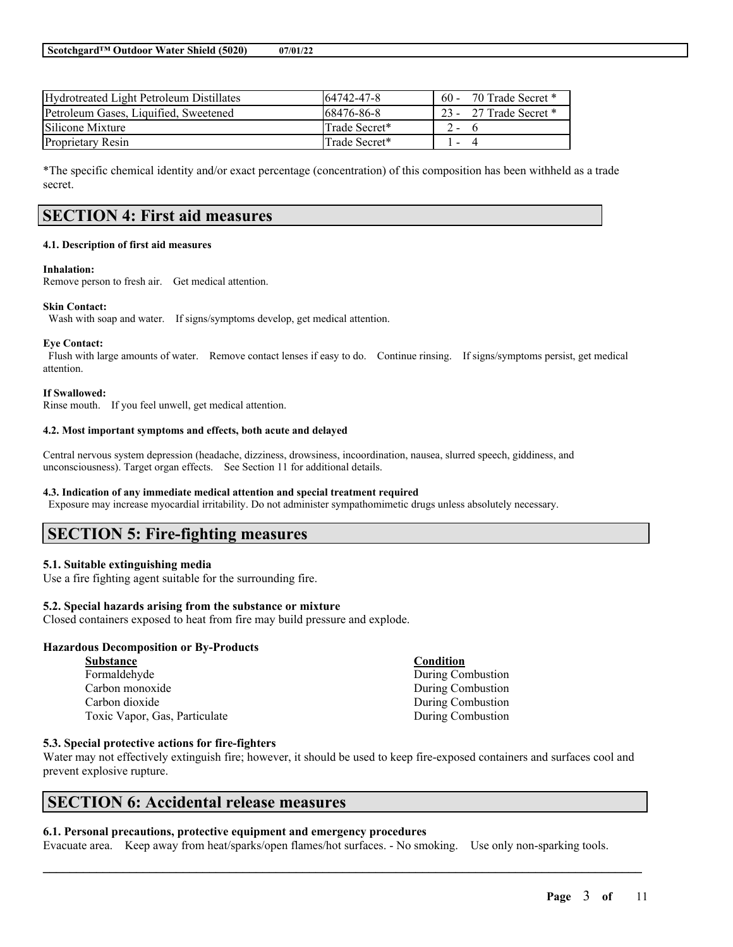| Hydrotreated Light Petroleum Distillates | 164742-47-8   | $60 -$                   | 70 Trade Secret *      |
|------------------------------------------|---------------|--------------------------|------------------------|
| Petroleum Gases, Liquified, Sweetened    | 168476-86-8   |                          | 23 - 27 Trade Secret * |
| Silicone Mixture                         | Trade Secret* | $2 -$                    |                        |
| <b>Proprietary Resin</b>                 | Trade Secret* | $\overline{\phantom{a}}$ |                        |

\*The specific chemical identity and/or exact percentage (concentration) of this composition has been withheld as a trade secret.

# **SECTION 4: First aid measures**

#### **4.1. Description of first aid measures**

#### **Inhalation:**

Remove person to fresh air. Get medical attention.

#### **Skin Contact:**

Wash with soap and water. If signs/symptoms develop, get medical attention.

#### **Eye Contact:**

Flush with large amounts of water. Remove contact lenses if easy to do. Continue rinsing. If signs/symptoms persist, get medical attention.

#### **If Swallowed:**

Rinse mouth. If you feel unwell, get medical attention.

#### **4.2. Most important symptoms and effects, both acute and delayed**

Central nervous system depression (headache, dizziness, drowsiness, incoordination, nausea, slurred speech, giddiness, and unconsciousness). Target organ effects. See Section 11 for additional details.

#### **4.3. Indication of any immediate medical attention and special treatment required**

Exposure may increase myocardial irritability. Do not administer sympathomimetic drugs unless absolutely necessary.

# **SECTION 5: Fire-fighting measures**

### **5.1. Suitable extinguishing media**

Use a fire fighting agent suitable for the surrounding fire.

### **5.2. Special hazards arising from the substance or mixture**

Closed containers exposed to heat from fire may build pressure and explode.

### **Hazardous Decomposition or By-Products**

| <b>Substance</b>              | Condition         |
|-------------------------------|-------------------|
| Formaldehyde                  | During Combustion |
| Carbon monoxide               | During Combustion |
| Carbon dioxide                | During Combustion |
| Toxic Vapor, Gas, Particulate | During Combustion |

### **5.3. Special protective actions for fire-fighters**

Water may not effectively extinguish fire; however, it should be used to keep fire-exposed containers and surfaces cool and prevent explosive rupture.

# **SECTION 6: Accidental release measures**

### **6.1. Personal precautions, protective equipment and emergency procedures**

Evacuate area. Keep away from heat/sparks/open flames/hot surfaces. - No smoking. Use only non-sparking tools.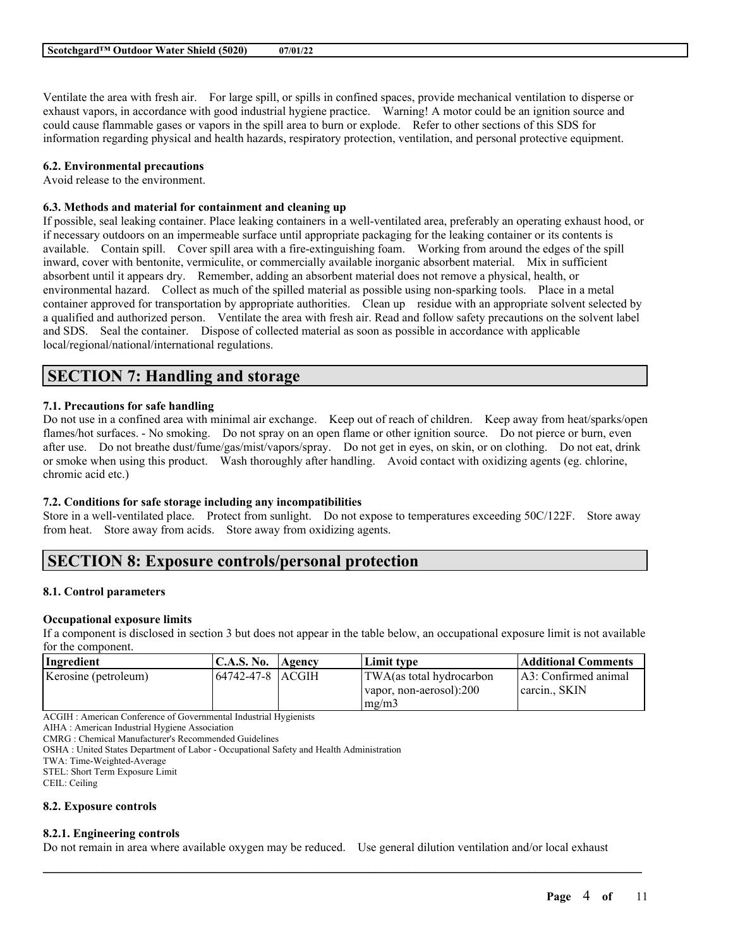Ventilate the area with fresh air. For large spill, or spills in confined spaces, provide mechanical ventilation to disperse or exhaust vapors, in accordance with good industrial hygiene practice. Warning! A motor could be an ignition source and could cause flammable gases or vapors in the spill area to burn or explode. Refer to other sections of this SDS for information regarding physical and health hazards, respiratory protection, ventilation, and personal protective equipment.

### **6.2. Environmental precautions**

Avoid release to the environment.

### **6.3. Methods and material for containment and cleaning up**

If possible, seal leaking container. Place leaking containers in a well-ventilated area, preferably an operating exhaust hood, or if necessary outdoors on an impermeable surface until appropriate packaging for the leaking container or its contents is available. Contain spill. Cover spill area with a fire-extinguishing foam. Working from around the edges of the spill inward, cover with bentonite, vermiculite, or commercially available inorganic absorbent material. Mix in sufficient absorbent until it appears dry. Remember, adding an absorbent material does not remove a physical, health, or environmental hazard. Collect as much of the spilled material as possible using non-sparking tools. Place in a metal container approved for transportation by appropriate authorities. Clean up residue with an appropriate solvent selected by a qualified and authorized person. Ventilate the area with fresh air. Read and follow safety precautions on the solvent label and SDS. Seal the container. Dispose of collected material as soon as possible in accordance with applicable local/regional/national/international regulations.

# **SECTION 7: Handling and storage**

### **7.1. Precautions for safe handling**

Do not use in a confined area with minimal air exchange. Keep out of reach of children. Keep away from heat/sparks/open flames/hot surfaces. - No smoking. Do not spray on an open flame or other ignition source. Do not pierce or burn, even after use. Do not breathe dust/fume/gas/mist/vapors/spray. Do not get in eyes, on skin, or on clothing. Do not eat, drink or smoke when using this product. Wash thoroughly after handling. Avoid contact with oxidizing agents (eg. chlorine, chromic acid etc.)

# **7.2. Conditions for safe storage including any incompatibilities**

Store in a well-ventilated place. Protect from sunlight. Do not expose to temperatures exceeding 50C/122F. Store away from heat. Store away from acids. Store away from oxidizing agents.

# **SECTION 8: Exposure controls/personal protection**

# **8.1. Control parameters**

# **Occupational exposure limits**

If a component is disclosed in section 3 but does not appear in the table below, an occupational exposure limit is not available for the component.

| Ingredient           | C.A.S. No. | <b>Agency</b> | Limit tvpe                                                    | <b>Additional Comments</b>            |
|----------------------|------------|---------------|---------------------------------------------------------------|---------------------------------------|
| Kerosine (petroleum) |            |               | TWA(as total hydrocarbon<br>Ivapor, non-aerosol):200<br>mg/m3 | A3: Confirmed animal<br>carcin., SKIN |

ACGIH : American Conference of Governmental Industrial Hygienists

AIHA : American Industrial Hygiene Association

CMRG : Chemical Manufacturer's Recommended Guidelines

OSHA : United States Department of Labor - Occupational Safety and Health Administration

TWA: Time-Weighted-Average

STEL: Short Term Exposure Limit

CEIL: Ceiling

### **8.2. Exposure controls**

# **8.2.1. Engineering controls**

Do not remain in area where available oxygen may be reduced. Use general dilution ventilation and/or local exhaust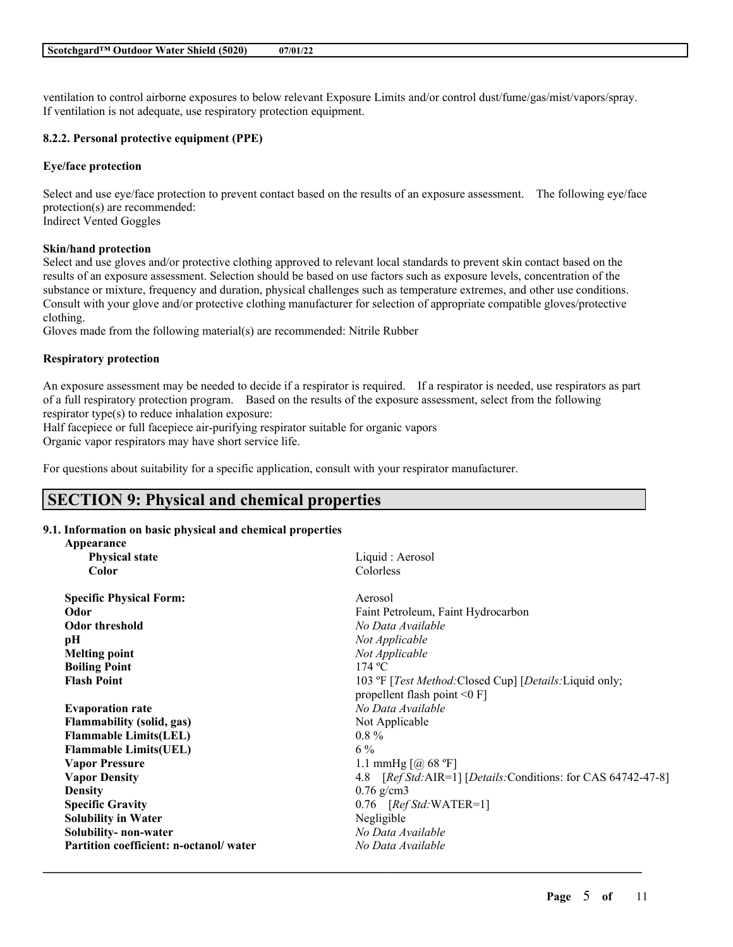ventilation to control airborne exposures to below relevant Exposure Limits and/or control dust/fume/gas/mist/vapors/spray. If ventilation is not adequate, use respiratory protection equipment.

# **8.2.2. Personal protective equipment (PPE)**

### **Eye/face protection**

Select and use eye/face protection to prevent contact based on the results of an exposure assessment. The following eye/face protection(s) are recommended: Indirect Vented Goggles

### **Skin/hand protection**

Select and use gloves and/or protective clothing approved to relevant local standards to prevent skin contact based on the results of an exposure assessment. Selection should be based on use factors such as exposure levels, concentration of the substance or mixture, frequency and duration, physical challenges such as temperature extremes, and other use conditions. Consult with your glove and/or protective clothing manufacturer for selection of appropriate compatible gloves/protective clothing.

Gloves made from the following material(s) are recommended: Nitrile Rubber

### **Respiratory protection**

An exposure assessment may be needed to decide if a respirator is required. If a respirator is needed, use respirators as part of a full respiratory protection program. Based on the results of the exposure assessment, select from the following respirator type(s) to reduce inhalation exposure:

Half facepiece or full facepiece air-purifying respirator suitable for organic vapors

Organic vapor respirators may have short service life.

For questions about suitability for a specific application, consult with your respirator manufacturer.

# **SECTION 9: Physical and chemical properties**

# **9.1. Information on basic physical and chemical properties**

| Appearance                             |                                                                |
|----------------------------------------|----------------------------------------------------------------|
| <b>Physical state</b>                  | Liquid : Aerosol                                               |
| Color                                  | Colorless                                                      |
| <b>Specific Physical Form:</b>         | Aerosol                                                        |
| Odor                                   | Faint Petroleum, Faint Hydrocarbon                             |
| <b>Odor threshold</b>                  | No Data Available                                              |
| pH                                     | Not Applicable                                                 |
| <b>Melting point</b>                   | Not Applicable                                                 |
| <b>Boiling Point</b>                   | 174 °C                                                         |
| <b>Flash Point</b>                     | 103 °F [Test Method: Closed Cup] [Details: Liquid only;        |
|                                        | propellent flash point $\leq 0$ F]                             |
| <b>Evaporation rate</b>                | No Data Available                                              |
| Flammability (solid, gas)              | Not Applicable                                                 |
| <b>Flammable Limits(LEL)</b>           | $0.8\%$                                                        |
| <b>Flammable Limits(UEL)</b>           | $6\%$                                                          |
| <b>Vapor Pressure</b>                  | 1.1 mmHg $\lceil$ ( <i>a</i> ) 68 °F]                          |
| <b>Vapor Density</b>                   | 4.8 [Ref Std: AIR=1] [Details: Conditions: for CAS 64742-47-8] |
| <b>Density</b>                         | $0.76$ g/cm3                                                   |
| <b>Specific Gravity</b>                | $0.76$ [Ref Std:WATER=1]                                       |
| <b>Solubility in Water</b>             | Negligible                                                     |
| Solubility- non-water                  | No Data Available                                              |
| Partition coefficient: n-octanol/water | No Data Available                                              |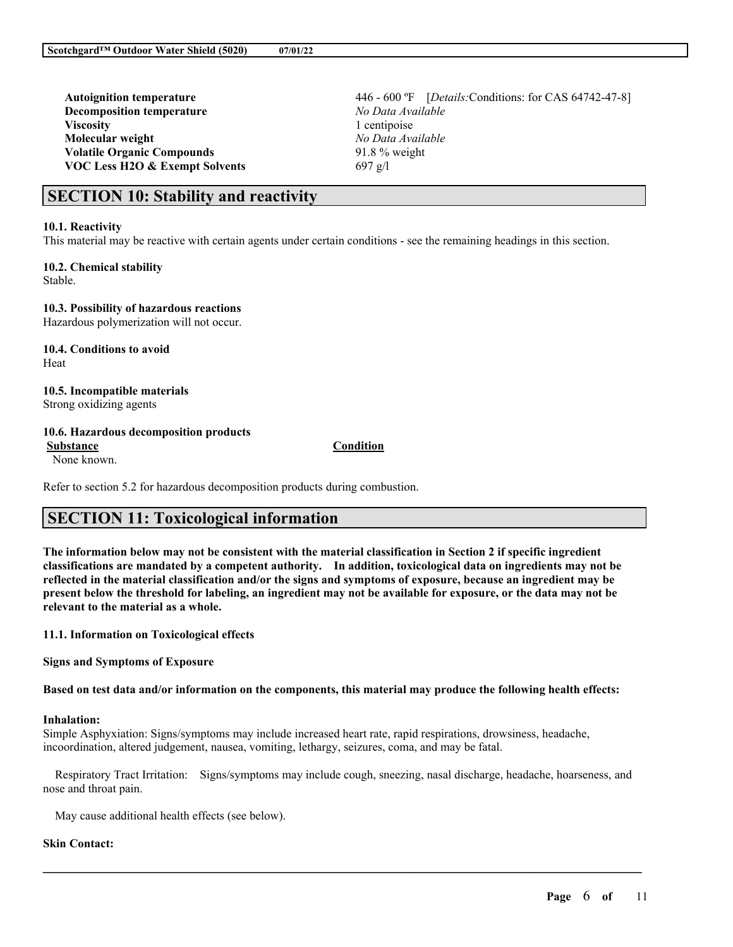**Decomposition temperature** *No Data Available* **Viscosity** 1 centipoise **Molecular weight** *No Data Available* **Volatile Organic Compounds** 91.8 % weight **VOC Less H2O & Exempt Solvents** 697 g/l

**Autoignition temperature** 446 - 600 ºF [*Details:*Conditions: for CAS 64742-47-8]

# **SECTION 10: Stability and reactivity**

#### **10.1. Reactivity**

This material may be reactive with certain agents under certain conditions - see the remaining headings in this section.

# **10.2. Chemical stability**

Stable.

### **10.3. Possibility of hazardous reactions**

Hazardous polymerization will not occur.

**10.4. Conditions to avoid** Heat

### **10.5. Incompatible materials** Strong oxidizing agents

### **10.6. Hazardous decomposition products**

**Substance Condition** None known.

Refer to section 5.2 for hazardous decomposition products during combustion.

# **SECTION 11: Toxicological information**

The information below may not be consistent with the material classification in Section 2 if specific ingredient **classifications are mandated by a competent authority. In addition, toxicological data on ingredients may not be** reflected in the material classification and/or the signs and symptoms of exposure, because an ingredient may be present below the threshold for labeling, an ingredient may not be available for exposure, or the data may not be **relevant to the material as a whole.**

### **11.1. Information on Toxicological effects**

**Signs and Symptoms of Exposure**

Based on test data and/or information on the components, this material may produce the following health effects:

### **Inhalation:**

Simple Asphyxiation: Signs/symptoms may include increased heart rate, rapid respirations, drowsiness, headache, incoordination, altered judgement, nausea, vomiting, lethargy, seizures, coma, and may be fatal.

Respiratory Tract Irritation: Signs/symptoms may include cough, sneezing, nasal discharge, headache, hoarseness, and nose and throat pain.

 $\mathcal{L}_\mathcal{L} = \mathcal{L}_\mathcal{L} = \mathcal{L}_\mathcal{L} = \mathcal{L}_\mathcal{L} = \mathcal{L}_\mathcal{L} = \mathcal{L}_\mathcal{L} = \mathcal{L}_\mathcal{L} = \mathcal{L}_\mathcal{L} = \mathcal{L}_\mathcal{L} = \mathcal{L}_\mathcal{L} = \mathcal{L}_\mathcal{L} = \mathcal{L}_\mathcal{L} = \mathcal{L}_\mathcal{L} = \mathcal{L}_\mathcal{L} = \mathcal{L}_\mathcal{L} = \mathcal{L}_\mathcal{L} = \mathcal{L}_\mathcal{L}$ 

May cause additional health effects (see below).

### **Skin Contact:**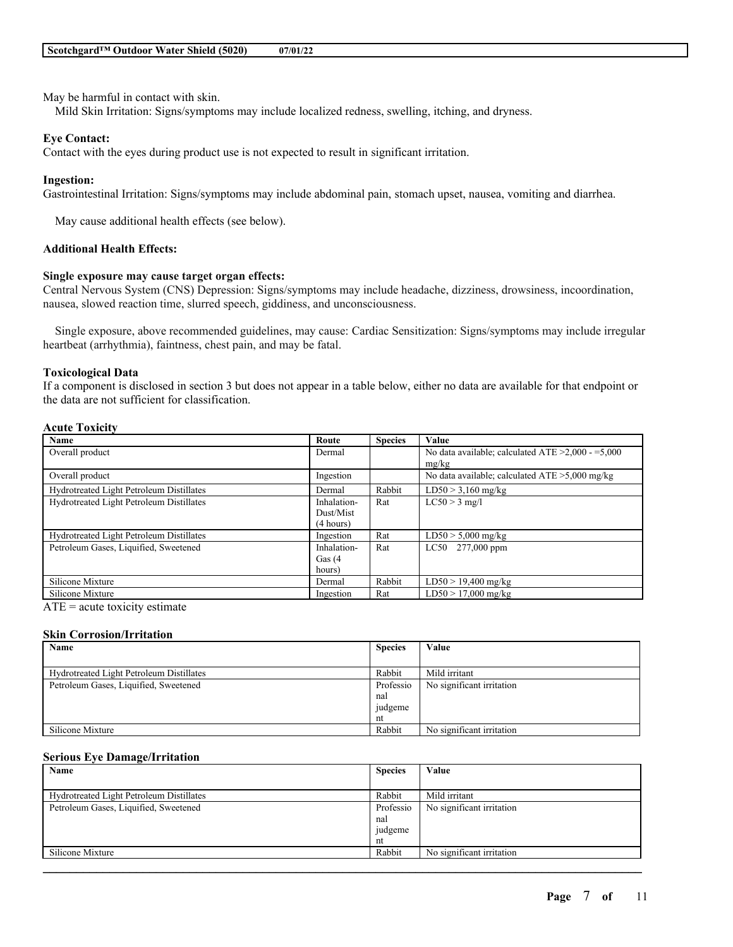May be harmful in contact with skin.

Mild Skin Irritation: Signs/symptoms may include localized redness, swelling, itching, and dryness.

### **Eye Contact:**

Contact with the eyes during product use is not expected to result in significant irritation.

#### **Ingestion:**

Gastrointestinal Irritation: Signs/symptoms may include abdominal pain, stomach upset, nausea, vomiting and diarrhea.

May cause additional health effects (see below).

### **Additional Health Effects:**

### **Single exposure may cause target organ effects:**

Central Nervous System (CNS) Depression: Signs/symptoms may include headache, dizziness, drowsiness, incoordination, nausea, slowed reaction time, slurred speech, giddiness, and unconsciousness.

Single exposure, above recommended guidelines, may cause: Cardiac Sensitization: Signs/symptoms may include irregular heartbeat (arrhythmia), faintness, chest pain, and may be fatal.

#### **Toxicological Data**

If a component is disclosed in section 3 but does not appear in a table below, either no data are available for that endpoint or the data are not sufficient for classification.

## **Acute Toxicity**

| Name                                     | Route       | <b>Species</b> | Value                                                   |
|------------------------------------------|-------------|----------------|---------------------------------------------------------|
| Overall product                          | Dermal      |                | No data available; calculated ATE $\geq$ 2,000 - =5,000 |
|                                          |             |                | mg/kg                                                   |
| Overall product                          | Ingestion   |                | No data available; calculated $ATE > 5,000$ mg/kg       |
| Hydrotreated Light Petroleum Distillates | Dermal      | Rabbit         | $LD50 > 3,160$ mg/kg                                    |
| Hydrotreated Light Petroleum Distillates | Inhalation- | Rat            | $LC50 > 3$ mg/l                                         |
|                                          | Dust/Mist   |                |                                                         |
|                                          | (4 hours)   |                |                                                         |
| Hydrotreated Light Petroleum Distillates | Ingestion   | Rat            | $LD50 > 5,000$ mg/kg                                    |
| Petroleum Gases, Liquified, Sweetened    | Inhalation- | Rat            | LC50 277,000 ppm                                        |
|                                          | Gas $(4)$   |                |                                                         |
|                                          | hours)      |                |                                                         |
| Silicone Mixture                         | Dermal      | Rabbit         | $LD50 > 19,400$ mg/kg                                   |
| Silicone Mixture                         | Ingestion   | Rat            | $LD50 > 17,000$ mg/kg                                   |

 $ATE = acute$  toxicity estimate

#### **Skin Corrosion/Irritation**

| Name                                     | <b>Species</b> | Value                     |
|------------------------------------------|----------------|---------------------------|
|                                          |                |                           |
| Hydrotreated Light Petroleum Distillates | Rabbit         | Mild irritant             |
| Petroleum Gases, Liquified, Sweetened    | Professio      | No significant irritation |
|                                          | nal            |                           |
|                                          | judgeme        |                           |
|                                          | nt             |                           |
| Silicone Mixture                         | Rabbit         | No significant irritation |

#### **Serious Eye Damage/Irritation**

| Name                                     | <b>Species</b> | Value                     |
|------------------------------------------|----------------|---------------------------|
|                                          |                |                           |
| Hydrotreated Light Petroleum Distillates | Rabbit         | Mild irritant             |
| Petroleum Gases, Liquified, Sweetened    | Professio      | No significant irritation |
|                                          | nal            |                           |
|                                          | judgeme        |                           |
|                                          | nt             |                           |
| Silicone Mixture                         | Rabbit         | No significant irritation |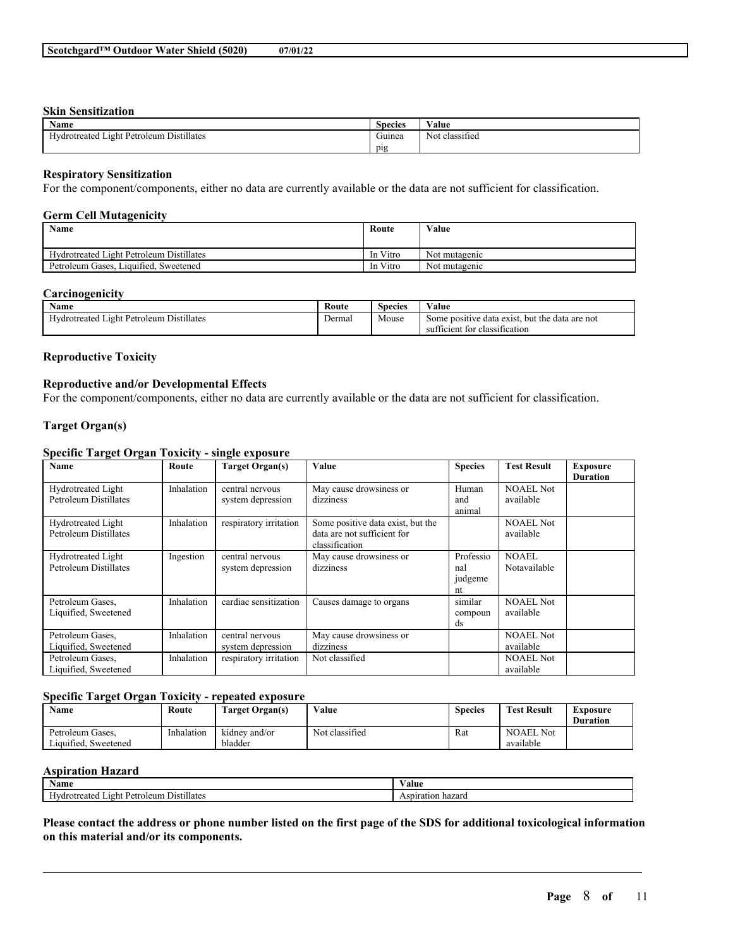# **Skin Sensitization**

| <b>Name</b>                              | <b>Species</b>   | Value                                    |
|------------------------------------------|------------------|------------------------------------------|
| Hydrotreated Light Petroleum Distillates | $\sim$<br>Guinea | $\sim$<br>$\mathbf{v}$<br>Not classified |
|                                          | pig              |                                          |

### **Respiratory Sensitization**

For the component/components, either no data are currently available or the data are not sufficient for classification.

### **Germ Cell Mutagenicity**

| Name                                     | Route    | Value         |
|------------------------------------------|----------|---------------|
|                                          |          |               |
| Hydrotreated Light Petroleum Distillates | In Vitro | Not mutagenic |
| Petroleum Gases, Liquified, Sweetened    | In Vitro | Not mutagenic |

### **Carcinogenicity**

| <b>Name</b>                                                          | Route  | $\sim$<br>Species | Value                                                                                  |
|----------------------------------------------------------------------|--------|-------------------|----------------------------------------------------------------------------------------|
| l Light Petroleum Distillates<br>$\mathbf{u}$<br><b>Hydrotreated</b> | Dermal | Mouse             | but the data are not<br>Some positive data exist.<br>fficient for classification<br>su |

### **Reproductive Toxicity**

# **Reproductive and/or Developmental Effects**

For the component/components, either no data are currently available or the data are not sufficient for classification.

### **Target Organ(s)**

# **Specific Target Organ Toxicity - single exposure**

| Name                                                      | Route      | <b>Target Organ(s)</b>               | Value                                                                              | <b>Species</b>                    | <b>Test Result</b>            | <b>Exposure</b><br><b>Duration</b> |
|-----------------------------------------------------------|------------|--------------------------------------|------------------------------------------------------------------------------------|-----------------------------------|-------------------------------|------------------------------------|
| <b>Hydrotreated Light</b><br>Petroleum Distillates        | Inhalation | central nervous<br>system depression | May cause drowsiness or<br>dizziness                                               | Human<br>and<br>animal            | <b>NOAEL Not</b><br>available |                                    |
| <b>Hydrotreated Light</b><br>Petroleum Distillates        | Inhalation | respiratory irritation               | Some positive data exist, but the<br>data are not sufficient for<br>classification |                                   | <b>NOAEL Not</b><br>available |                                    |
| <b>Hydrotreated Light</b><br><b>Petroleum Distillates</b> | Ingestion  | central nervous<br>system depression | May cause drowsiness or<br>dizziness                                               | Professio<br>nal<br>judgeme<br>nt | <b>NOAEL</b><br>Notavailable  |                                    |
| Petroleum Gases.<br>Liquified, Sweetened                  | Inhalation | cardiac sensitization                | Causes damage to organs                                                            | similar<br>compoun<br>ds          | <b>NOAEL Not</b><br>available |                                    |
| Petroleum Gases.<br>Liquified, Sweetened                  | Inhalation | central nervous<br>system depression | May cause drowsiness or<br>dizziness                                               |                                   | <b>NOAEL Not</b><br>available |                                    |
| Petroleum Gases,<br>Liquified, Sweetened                  | Inhalation | respiratory irritation               | Not classified                                                                     |                                   | <b>NOAEL Not</b><br>available |                                    |

# **Specific Target Organ Toxicity - repeated exposure**

| Name                                     | Route      | Target Organ(s)          | Value          | <b>Species</b> | <b>Test Result</b>            | Exposure<br><b>Duration</b> |
|------------------------------------------|------------|--------------------------|----------------|----------------|-------------------------------|-----------------------------|
| Petroleum Gases.<br>Liquified. Sweetened | Inhalation | kidney and/or<br>bladder | Not classified | Rat            | <b>NOAEL</b> Not<br>available |                             |

#### **Aspiration Hazard**

| $\mathbf{A}$<br>Name                                           | ⁄ alue               |
|----------------------------------------------------------------|----------------------|
| $\cdots$<br>$ -$<br>ught Petroleum.<br>. Distillates<br>reated | hazaro<br>Aspiration |

Please contact the address or phone number listed on the first page of the SDS for additional toxicological information **on this material and/or its components.**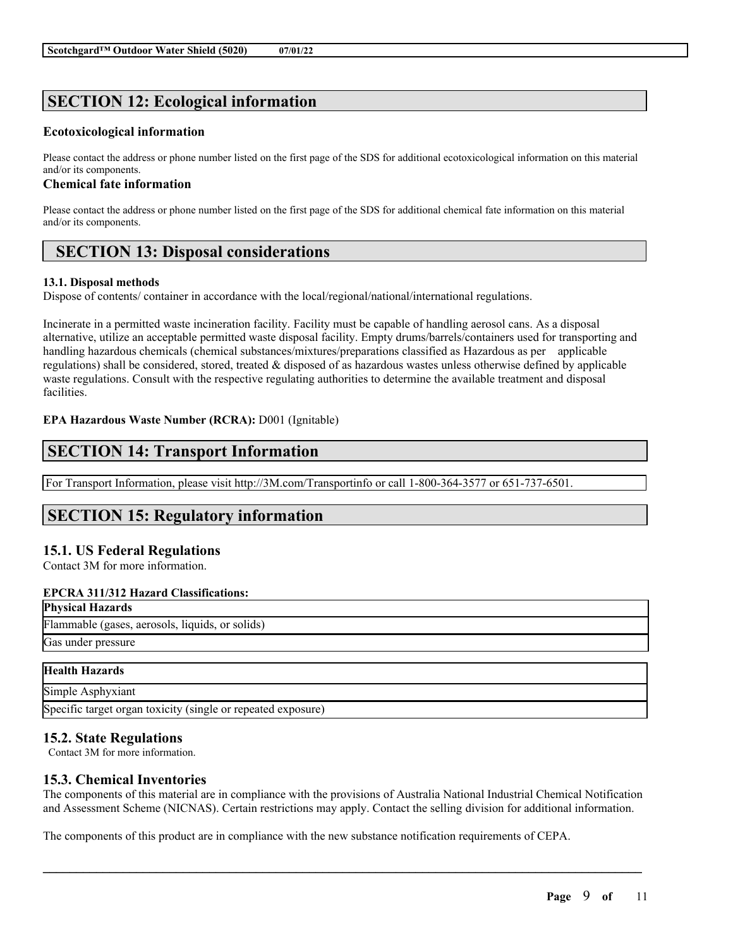# **SECTION 12: Ecological information**

# **Ecotoxicological information**

Please contact the address or phone number listed on the first page of the SDS for additional ecotoxicological information on this material and/or its components.

# **Chemical fate information**

Please contact the address or phone number listed on the first page of the SDS for additional chemical fate information on this material and/or its components.

# **SECTION 13: Disposal considerations**

# **13.1. Disposal methods**

Dispose of contents/ container in accordance with the local/regional/national/international regulations.

Incinerate in a permitted waste incineration facility. Facility must be capable of handling aerosol cans. As a disposal alternative, utilize an acceptable permitted waste disposal facility. Empty drums/barrels/containers used for transporting and handling hazardous chemicals (chemical substances/mixtures/preparations classified as Hazardous as per applicable regulations) shall be considered, stored, treated & disposed of as hazardous wastes unless otherwise defined by applicable waste regulations. Consult with the respective regulating authorities to determine the available treatment and disposal facilities.

# **EPA Hazardous Waste Number (RCRA):** D001 (Ignitable)

# **SECTION 14: Transport Information**

For Transport Information, please visit http://3M.com/Transportinfo or call 1-800-364-3577 or 651-737-6501.

# **SECTION 15: Regulatory information**

# **15.1. US Federal Regulations**

Contact 3M for more information.

# **EPCRA 311/312 Hazard Classifications:**

| <b>Physical Hazards</b>                         |
|-------------------------------------------------|
| Flammable (gases, aerosols, liquids, or solids) |
| Gas under pressure                              |

| <b>Health Hazards</b>                                        |  |
|--------------------------------------------------------------|--|
| Simple Asphyxiant                                            |  |
| Specific target organ toxicity (single or repeated exposure) |  |

# **15.2. State Regulations**

Contact 3M for more information.

# **15.3. Chemical Inventories**

The components of this material are in compliance with the provisions of Australia National Industrial Chemical Notification and Assessment Scheme (NICNAS). Certain restrictions may apply. Contact the selling division for additional information.

 $\mathcal{L}_\mathcal{L} = \mathcal{L}_\mathcal{L} = \mathcal{L}_\mathcal{L} = \mathcal{L}_\mathcal{L} = \mathcal{L}_\mathcal{L} = \mathcal{L}_\mathcal{L} = \mathcal{L}_\mathcal{L} = \mathcal{L}_\mathcal{L} = \mathcal{L}_\mathcal{L} = \mathcal{L}_\mathcal{L} = \mathcal{L}_\mathcal{L} = \mathcal{L}_\mathcal{L} = \mathcal{L}_\mathcal{L} = \mathcal{L}_\mathcal{L} = \mathcal{L}_\mathcal{L} = \mathcal{L}_\mathcal{L} = \mathcal{L}_\mathcal{L}$ 

The components of this product are in compliance with the new substance notification requirements of CEPA.